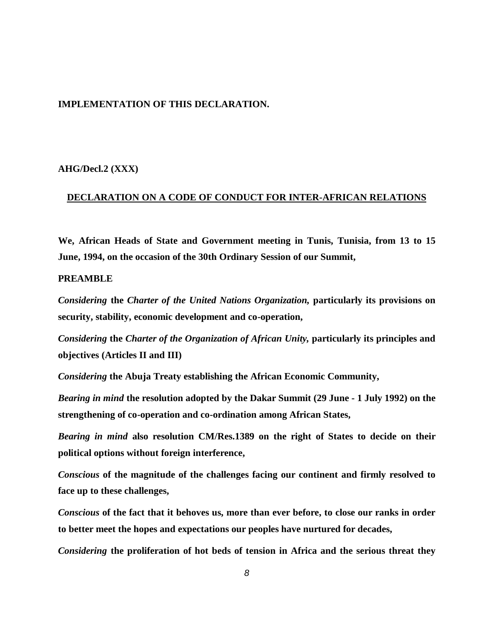## **IMPLEMENTATION OF THIS DECLARATION.**

## **AHG/Decl.2 (XXX)**

#### **DECLARATION ON A CODE OF CONDUCT FOR INTER-AFRICAN RELATIONS**

**We, African Heads of State and Government meeting in Tunis, Tunisia, from 13 to 15 June, 1994, on the occasion of the 30th Ordinary Session of our Summit,**

### **PREAMBLE**

*Considering* **the** *Charter of the United Nations Organization,* **particularly its provisions on security, stability, economic development and co-operation,**

*Considering* **the** *Charter of the Organization of African Unity,* **particularly its principles and objectives (Articles II and III)**

*Considering* **the Abuja Treaty establishing the African Economic Community,**

*Bearing in mind* **the resolution adopted by the Dakar Summit (29 June - 1 July 1992) on the strengthening of co-operation and co-ordination among African States,**

*Bearing in mind* **also resolution CM/Res.1389 on the right of States to decide on their political options without foreign interference,**

*Conscious* **of the magnitude of the challenges facing our continent and firmly resolved to face up to these challenges,**

*Conscious* **of the fact that it behoves us, more than ever before, to close our ranks in order to better meet the hopes and expectations our peoples have nurtured for decades,**

*Considering* **the proliferation of hot beds of tension in Africa and the serious threat they**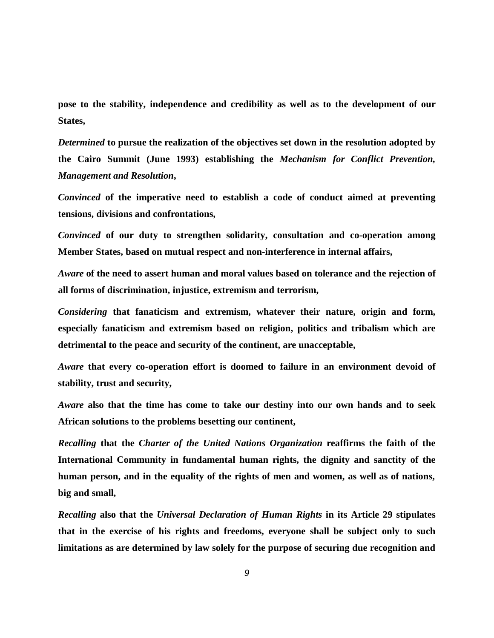**pose to the stability, independence and credibility as well as to the development of our States,**

*Determined* **to pursue the realization of the objectives set down in the resolution adopted by the Cairo Summit (June 1993) establishing the** *Mechanism for Conflict Prevention, Management and Resolution***,**

*Convinced* **of the imperative need to establish a code of conduct aimed at preventing tensions, divisions and confrontations,**

*Convinced* **of our duty to strengthen solidarity, consultation and co-operation among Member States, based on mutual respect and non-interference in internal affairs,**

*Aware* **of the need to assert human and moral values based on tolerance and the rejection of all forms of discrimination, injustice, extremism and terrorism,**

*Considering* **that fanaticism and extremism, whatever their nature, origin and form, especially fanaticism and extremism based on religion, politics and tribalism which are detrimental to the peace and security of the continent, are unacceptable,**

*Aware* **that every co-operation effort is doomed to failure in an environment devoid of stability, trust and security,**

*Aware* **also that the time has come to take our destiny into our own hands and to seek African solutions to the problems besetting our continent,**

*Recalling* **that the** *Charter of the United Nations Organization* **reaffirms the faith of the International Community in fundamental human rights, the dignity and sanctity of the human person, and in the equality of the rights of men and women, as well as of nations, big and small,**

*Recalling* **also that the** *Universal Declaration of Human Rights* **in its Article 29 stipulates that in the exercise of his rights and freedoms, everyone shall be subject only to such limitations as are determined by law solely for the purpose of securing due recognition and**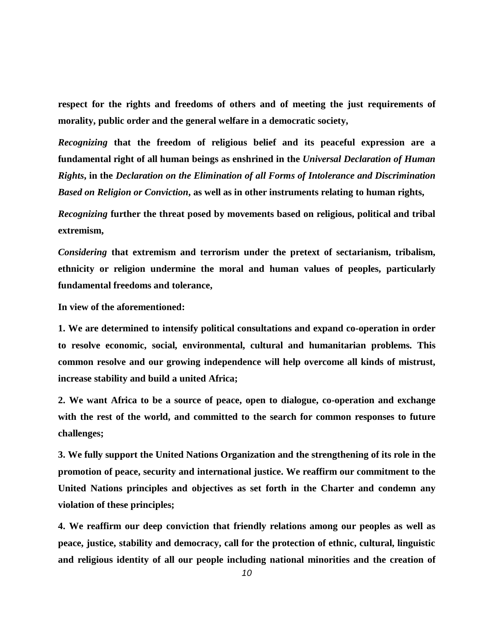**respect for the rights and freedoms of others and of meeting the just requirements of morality, public order and the general welfare in a democratic society,**

*Recognizing* **that the freedom of religious belief and its peaceful expression are a fundamental right of all human beings as enshrined in the** *Universal Declaration of Human Rights***, in the** *Declaration on the Elimination of all Forms of Intolerance and Discrimination Based on Religion or Conviction***, as well as in other instruments relating to human rights,**

*Recognizing* **further the threat posed by movements based on religious, political and tribal extremism,**

*Considering* **that extremism and terrorism under the pretext of sectarianism, tribalism, ethnicity or religion undermine the moral and human values of peoples, particularly fundamental freedoms and tolerance,** 

**In view of the aforementioned:**

**1. We are determined to intensify political consultations and expand co-operation in order to resolve economic, social, environmental, cultural and humanitarian problems. This common resolve and our growing independence will help overcome all kinds of mistrust, increase stability and build a united Africa;**

**2. We want Africa to be a source of peace, open to dialogue, co-operation and exchange with the rest of the world, and committed to the search for common responses to future challenges;**

**3. We fully support the United Nations Organization and the strengthening of its role in the promotion of peace, security and international justice. We reaffirm our commitment to the United Nations principles and objectives as set forth in the Charter and condemn any violation of these principles;**

**4. We reaffirm our deep conviction that friendly relations among our peoples as well as peace, justice, stability and democracy, call for the protection of ethnic, cultural, linguistic and religious identity of all our people including national minorities and the creation of**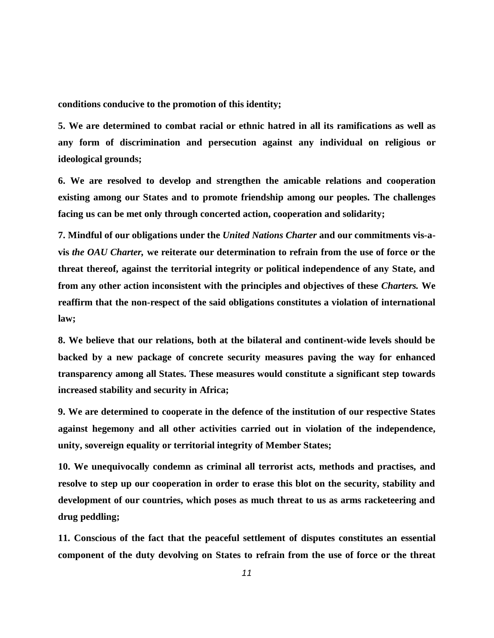**conditions conducive to the promotion of this identity;**

**5. We are determined to combat racial or ethnic hatred in all its ramifications as well as any form of discrimination and persecution against any individual on religious or ideological grounds;**

**6. We are resolved to develop and strengthen the amicable relations and cooperation existing among our States and to promote friendship among our peoples. The challenges facing us can be met only through concerted action, cooperation and solidarity;**

**7. Mindful of our obligations under the** *United Nations Charter* **and our commitments vis-avis** *the OAU Charter,* **we reiterate our determination to refrain from the use of force or the threat thereof, against the territorial integrity or political independence of any State, and from any other action inconsistent with the principles and objectives of these** *Charters.* **We reaffirm that the non-respect of the said obligations constitutes a violation of international law;**

**8. We believe that our relations, both at the bilateral and continent-wide levels should be backed by a new package of concrete security measures paving the way for enhanced transparency among all States. These measures would constitute a significant step towards increased stability and security in Africa;**

**9. We are determined to cooperate in the defence of the institution of our respective States against hegemony and all other activities carried out in violation of the independence, unity, sovereign equality or territorial integrity of Member States;**

**10. We unequivocally condemn as criminal all terrorist acts, methods and practises, and resolve to step up our cooperation in order to erase this blot on the security, stability and development of our countries, which poses as much threat to us as arms racketeering and drug peddling;**

**11. Conscious of the fact that the peaceful settlement of disputes constitutes an essential component of the duty devolving on States to refrain from the use of force or the threat**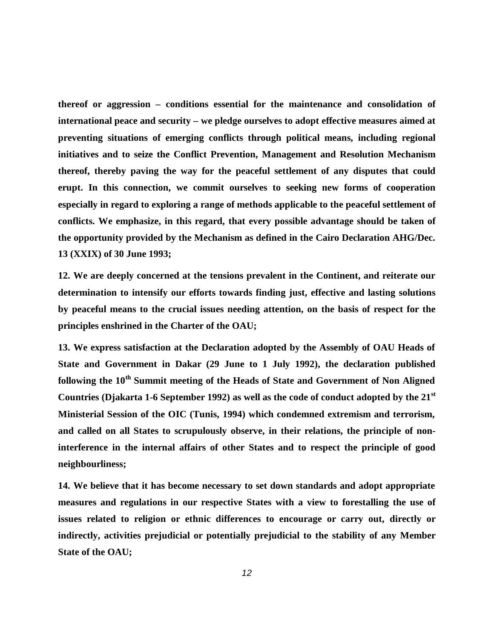**thereof or aggression – conditions essential for the maintenance and consolidation of international peace and security – we pledge ourselves to adopt effective measures aimed at preventing situations of emerging conflicts through political means, including regional initiatives and to seize the Conflict Prevention, Management and Resolution Mechanism thereof, thereby paving the way for the peaceful settlement of any disputes that could erupt. In this connection, we commit ourselves to seeking new forms of cooperation especially in regard to exploring a range of methods applicable to the peaceful settlement of conflicts. We emphasize, in this regard, that every possible advantage should be taken of the opportunity provided by the Mechanism as defined in the Cairo Declaration AHG/Dec. 13 (XXIX) of 30 June 1993;**

**12. We are deeply concerned at the tensions prevalent in the Continent, and reiterate our determination to intensify our efforts towards finding just, effective and lasting solutions by peaceful means to the crucial issues needing attention, on the basis of respect for the principles enshrined in the Charter of the OAU;**

**13. We express satisfaction at the Declaration adopted by the Assembly of OAU Heads of State and Government in Dakar (29 June to 1 July 1992), the declaration published following the 10th Summit meeting of the Heads of State and Government of Non Aligned Countries (Djakarta 1-6 September 1992) as well as the code of conduct adopted by the 21st Ministerial Session of the OIC (Tunis, 1994) which condemned extremism and terrorism, and called on all States to scrupulously observe, in their relations, the principle of noninterference in the internal affairs of other States and to respect the principle of good neighbourliness;**

**14. We believe that it has become necessary to set down standards and adopt appropriate measures and regulations in our respective States with a view to forestalling the use of issues related to religion or ethnic differences to encourage or carry out, directly or indirectly, activities prejudicial or potentially prejudicial to the stability of any Member State of the OAU;**